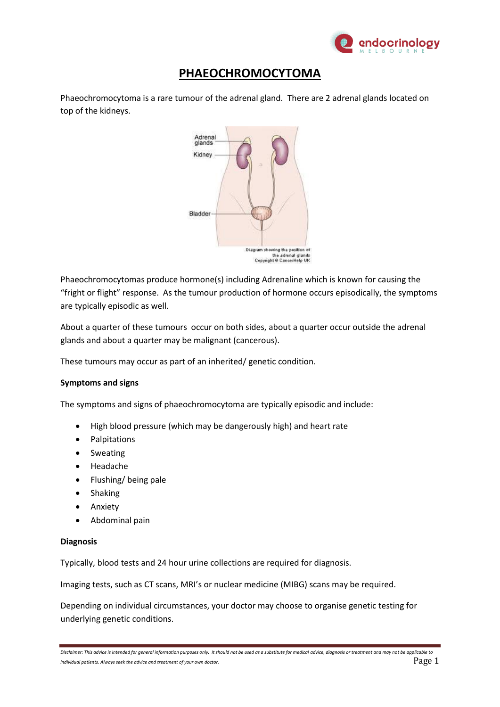

## **PHAEOCHROMOCYTOMA**

Phaeochromocytoma is a rare tumour of the adrenal gland. There are 2 adrenal glands located on top of the kidneys.



Phaeochromocytomas produce hormone(s) including Adrenaline which is known for causing the "fright or flight" response. As the tumour production of hormone occurs episodically, the symptoms are typically episodic as well.

About a quarter of these tumours occur on both sides, about a quarter occur outside the adrenal glands and about a quarter may be malignant (cancerous).

These tumours may occur as part of an inherited/ genetic condition.

## **Symptoms and signs**

The symptoms and signs of phaeochromocytoma are typically episodic and include:

- High blood pressure (which may be dangerously high) and heart rate
- Palpitations
- **•** Sweating
- Headache
- Flushing/ being pale
- Shaking
- Anxiety
- Abdominal pain

## **Diagnosis**

Typically, blood tests and 24 hour urine collections are required for diagnosis.

Imaging tests, such as CT scans, MRI's or nuclear medicine (MIBG) scans may be required.

Depending on individual circumstances, your doctor may choose to organise genetic testing for underlying genetic conditions.